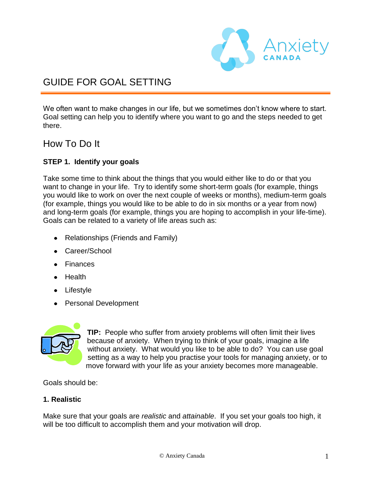

# GUIDE FOR GOAL SETTING

We often want to make changes in our life, but we sometimes don't know where to start. Goal setting can help you to identify where you want to go and the steps needed to get there.

# How To Do It

### **STEP 1. Identify your goals**

Take some time to think about the things that you would either like to do or that you want to change in your life. Try to identify some short-term goals (for example, things you would like to work on over the next couple of weeks or months), medium-term goals (for example, things you would like to be able to do in six months or a year from now) and long-term goals (for example, things you are hoping to accomplish in your life-time). Goals can be related to a variety of life areas such as:

- Relationships (Friends and Family)
- Career/School
- Finances
- Health
- Lifestyle
- Personal Development



**TIP:** People who suffer from anxiety problems will often limit their lives because of anxiety. When trying to think of your goals, imagine a life without anxiety. What would you like to be able to do? You can use goal setting as a way to help you practise your tools for managing anxiety, or to move forward with your life as your anxiety becomes more manageable.

Goals should be:

### **1. Realistic**

Make sure that your goals are *realistic* and *attainable*. If you set your goals too high, it will be too difficult to accomplish them and your motivation will drop.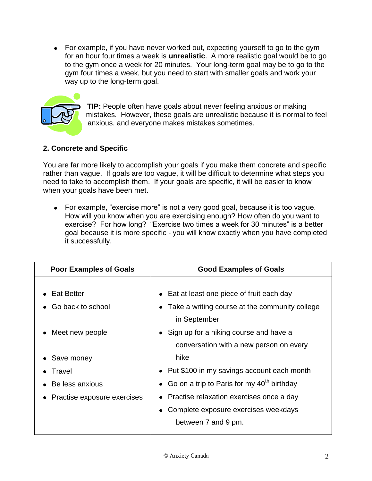For example, if you have never worked out, expecting yourself to go to the gym for an hour four times a week is **unrealistic**. A more realistic goal would be to go to the gym once a week for 20 minutes. Your long-term goal may be to go to the gym four times a week, but you need to start with smaller goals and work your way up to the long-term goal.



**TIP:** People often have goals about never feeling anxious or making mistakes. However, these goals are unrealistic because it is normal to feel anxious, and everyone makes mistakes sometimes.

# **2. Concrete and Specific**

You are far more likely to accomplish your goals if you make them concrete and specific rather than vague. If goals are too vague, it will be difficult to determine what steps you need to take to accomplish them. If your goals are specific, it will be easier to know when your goals have been met.

For example, "exercise more" is not a very good goal, because it is too vague. How will you know when you are exercising enough? How often do you want to exercise? For how long? "Exercise two times a week for 30 minutes" is a better goal because it is more specific - you will know exactly when you have completed it successfully.

| <b>Poor Examples of Goals</b> | <b>Good Examples of Goals</b>                  |
|-------------------------------|------------------------------------------------|
|                               |                                                |
| <b>Eat Better</b>             | • Eat at least one piece of fruit each day     |
| Go back to school             | Take a writing course at the community college |
|                               | in September                                   |
| Meet new people               | • Sign up for a hiking course and have a       |
|                               | conversation with a new person on every        |
| • Save money                  | hike                                           |
| Travel                        | • Put \$100 in my savings account each month   |
| Be less anxious               | • Go on a trip to Paris for my $40th$ birthday |
| Practise exposure exercises   | • Practise relaxation exercises once a day     |
|                               | Complete exposure exercises weekdays           |
|                               | between 7 and 9 pm.                            |
|                               |                                                |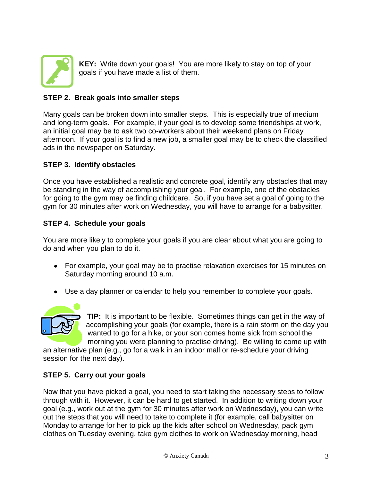

**KEY:** Write down your goals! You are more likely to stay on top of your goals if you have made a list of them.

## **STEP 2. Break goals into smaller steps**

Many goals can be broken down into smaller steps. This is especially true of medium and long-term goals. For example, if your goal is to develop some friendships at work, an initial goal may be to ask two co-workers about their weekend plans on Friday afternoon. If your goal is to find a new job, a smaller goal may be to check the classified ads in the newspaper on Saturday.

#### **STEP 3. Identify obstacles**

Once you have established a realistic and concrete goal, identify any obstacles that may be standing in the way of accomplishing your goal. For example, one of the obstacles for going to the gym may be finding childcare. So, if you have set a goal of going to the gym for 30 minutes after work on Wednesday, you will have to arrange for a babysitter.

#### **STEP 4. Schedule your goals**

You are more likely to complete your goals if you are clear about what you are going to do and when you plan to do it.

- For example, your goal may be to practise relaxation exercises for 15 minutes on Saturday morning around 10 a.m.
- Use a day planner or calendar to help you remember to complete your goals.



**TIP:** It is important to be flexible. Sometimes things can get in the way of accomplishing your goals (for example, there is a rain storm on the day you wanted to go for a hike, or your son comes home sick from school the morning you were planning to practise driving). Be willing to come up with

an alternative plan (e.g., go for a walk in an indoor mall or re-schedule your driving session for the next day).

### **STEP 5. Carry out your goals**

Now that you have picked a goal, you need to start taking the necessary steps to follow through with it. However, it can be hard to get started. In addition to writing down your goal (e.g., work out at the gym for 30 minutes after work on Wednesday), you can write out the steps that you will need to take to complete it (for example, call babysitter on Monday to arrange for her to pick up the kids after school on Wednesday, pack gym clothes on Tuesday evening, take gym clothes to work on Wednesday morning, head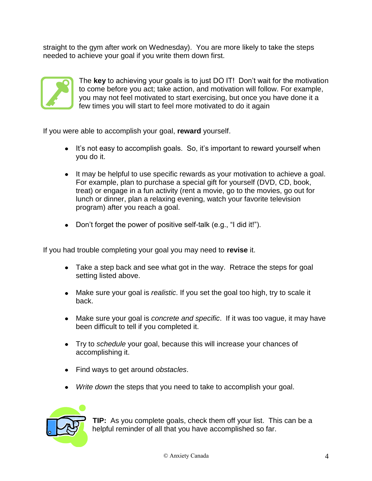straight to the gym after work on Wednesday). You are more likely to take the steps needed to achieve your goal if you write them down first.



The **key** to achieving your goals is to just DO IT! Don't wait for the motivation to come before you act; take action, and motivation will follow. For example, you may not feel motivated to start exercising, but once you have done it a few times you will start to feel more motivated to do it again

If you were able to accomplish your goal, **reward** yourself.

- It's not easy to accomplish goals. So, it's important to reward yourself when you do it.
- It may be helpful to use specific rewards as your motivation to achieve a goal. For example, plan to purchase a special gift for yourself (DVD, CD, book, treat) or engage in a fun activity (rent a movie, go to the movies, go out for lunch or dinner, plan a relaxing evening, watch your favorite television program) after you reach a goal.
- Don't forget the power of positive self-talk (e.g., "I did it!").

If you had trouble completing your goal you may need to **revise** it.

- Take a step back and see what got in the way. Retrace the steps for goal setting listed above.
- Make sure your goal is *realistic*. If you set the goal too high, try to scale it back.
- Make sure your goal is *concrete and specific*. If it was too vague, it may have been difficult to tell if you completed it.
- Try to *schedule* your goal, because this will increase your chances of accomplishing it.
- Find ways to get around *obstacles*.
- *Write down* the steps that you need to take to accomplish your goal.



**TIP:** As you complete goals, check them off your list. This can be a helpful reminder of all that you have accomplished so far.